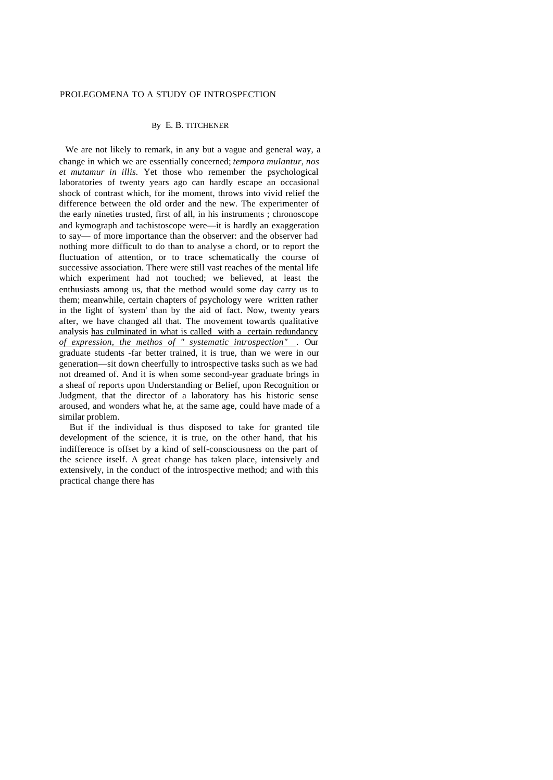## PROLEGOMENA TO A STUDY OF INTROSPECTION

#### By E. B. TITCHENER

We are not likely to remark, in any but a vague and general way, a change in which we are essentially concerned; *tempora mulantur, nos et mutamur in illis.* Yet those who remember the psychological laboratories of twenty years ago can hardly escape an occasional shock of contrast which, for ihe moment, throws into vivid relief the difference between the old order and the new. The experimenter of the early nineties trusted, first of all, in his instruments ; chronoscope and kymograph and tachistoscope were—it is hardly an exaggeration to say— of more importance than the observer: and the observer had nothing more difficult to do than to analyse a chord, or to report the fluctuation of attention, or to trace schematically the course of successive association. There were still vast reaches of the mental life which experiment had not touched; we believed, at least the enthusiasts among us, that the method would some day carry us to them; meanwhile, certain chapters of psychology were written rather in the light of 'system' than by the aid of fact. Now, twenty years after, we have changed all that. The movement towards qualitative analysis has culminated in what is called with a certain redundancy *of expression, the methos of " systematic introspection"* . Our graduate students -far better trained, it is true, than we were in our generation—sit down cheerfully to introspective tasks such as we had not dreamed of. And it is when some second-year graduate brings in a sheaf of reports upon Understanding or Belief, upon Recognition or Judgment, that the director of a laboratory has his historic sense aroused, and wonders what he, at the same age, could have made of a similar problem.

But if the individual is thus disposed to take for granted tile development of the science, it is true, on the other hand, that his indifference is offset by a kind of self-consciousness on the part of the science itself. A great change has taken place, intensively and extensively, in the conduct of the introspective method; and with this practical change there has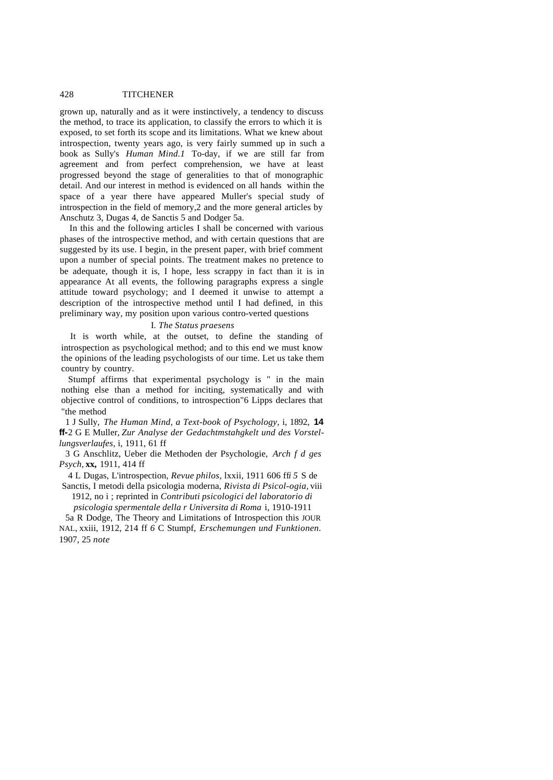grown up, naturally and as it were instinctively, a tendency to discuss the method, to trace its application, to classify the errors to which it is exposed, to set forth its scope and its limitations. What we knew about introspection, twenty years ago, is very fairly summed up in such a book as Sully's *Human Mind.1* To-day, if we are still far from agreement and from perfect comprehension, we have at least progressed beyond the stage of generalities to that of monographic detail. And our interest in method is evidenced on all hands within the space of a year there have appeared Muller's special study of introspection in the field of memory,2 and the more general articles by Anschutz 3, Dugas 4, de Sanctis 5 and Dodger 5a.

In this and the following articles I shall be concerned with various phases of the introspective method, and with certain questions that are suggested by its use. I begin, in the present paper, with brief comment upon a number of special points. The treatment makes no pretence to be adequate, though it is, I hope, less scrappy in fact than it is in appearance At all events, the following paragraphs express a single attitude toward psychology; and I deemed it unwise to attempt a description of the introspective method until I had defined, in this preliminary way, my position upon various contro-verted questions

#### I. *The Status praesens*

It is worth while, at the outset, to define the standing of introspection as psychological method; and to this end we must know the opinions of the leading psychologists of our time. Let us take them country by country.

Stumpf affirms that experimental psychology is " in the main nothing else than a method for inciting, systematically and with objective control of conditions, to introspection"6 Lipps declares that "the method

1 J Sully, *The Human Mind, a Text-book of Psychology,* i, 1892, **14 ff-**2 G E Muller, *Zur Analyse der Gedachtmstahgkelt und des Vorstellungsverlaufes,* i, 1911, 61 ff

3 G Anschlitz, Ueber die Methoden der Psychologie, *Arch f d ges Psych,* **xx,** 1911, 414 ff

4 L Dugas, L'introspection, *Revue philos,* lxxii, 1911 606 ff*i 5* S de Sanctis, I metodi della psicologia moderna, *Rivista di Psicol-ogia,* viii

1912, no i ; reprinted in *Contributi psicologici del laboratorio di*

*psicologia spermentale della r Universita di Roma* i, 1910-1911

5a R Dodge, The Theory and Limitations of Introspection this JOUR NAL, xxiii, 1912, 214 ff *6* C Stumpf, *Erschemungen und Funktionen.* 1907, 25 *note*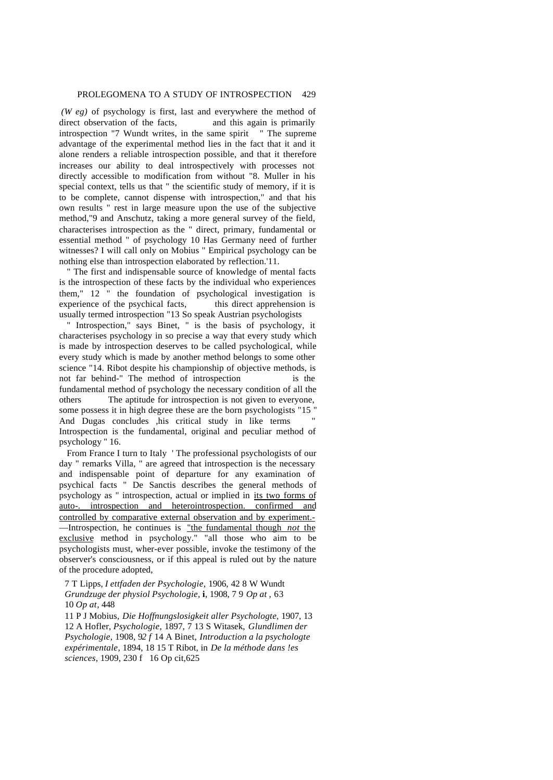*(W eg)* of psychology is first, last and everywhere the method of direct observation of the facts, and this again is primarily introspection "7 Wundt writes, in the same spirit " The supreme advantage of the experimental method lies in the fact that it and it alone renders a reliable introspection possible, and that it therefore increases our ability to deal introspectively with processes not directly accessible to modification from without "8. Muller in his special context, tells us that " the scientific study of memory, if it is to be complete, cannot dispense with introspection," and that his own results " rest in large measure upon the use of the subjective method,"9 and Anschutz, taking a more general survey of the field, characterises introspection as the " direct, primary, fundamental or essential method " of psychology 10 Has Germany need of further witnesses? I will call only on Mobius " Empirical psychology can be nothing else than introspection elaborated by reflection.'11.

" The first and indispensable source of knowledge of mental facts is the introspection of these facts by the individual who experiences them," 12 " the foundation of psychological investigation is experience of the psychical facts, this direct apprehension is usually termed introspection "13 So speak Austrian psychologists

" Introspection," says Binet, " is the basis of psychology, it characterises psychology in so precise a way that every study which is made by introspection deserves to be called psychological, while every study which is made by another method belongs to some other science "14. Ribot despite his championship of objective methods, is not far behind-" The method of introspection is the fundamental method of psychology the necessary condition of all the others The aptitude for introspection is not given to everyone, some possess it in high degree these are the born psychologists "15 " And Dugas concludes ,his critical study in like terms Introspection is the fundamental, original and peculiar method of psychology " 16.

From France I turn to Italy ' The professional psychologists of our day " remarks Villa, " are agreed that introspection is the necessary and indispensable point of departure for any examination of psychical facts " De Sanctis describes the general methods of psychology as " introspection, actual or implied in its two forms of auto-. introspection and heterointrospection. confirmed and controlled by comparative external observation and by experiment.- —Introspection, he continues is "the fundamental though *not* the exclusive method in psychology." "all those who aim to be psychologists must, wher-ever possible, invoke the testimony of the observer's consciousness, or if this appeal is ruled out by the nature of the procedure adopted,

7 T Lipps, *I ettfaden der Psychologie,* 1906, 42 8 W Wundt *Grundzuge der physiol Psychologie,* **i**, 1908, 7 9 *Op at ,* 63 10 *Op at,* 448

11 P J Mobius, *Die Hoffnungslosigkeit aller Psychologte,* 1907, 13 12 A Hofler, *Psychologie,* 1897, 7 13 S Witasek, *Glundlimen der Psychologie,* 1908, 9*2 f* 14 A Binet, *Introduction a la psychologte expérimentale,* 1894, 18 15 T Ribot, in *De la méthode dans !es sciences,* 1909, 230 f 16 Op cit,625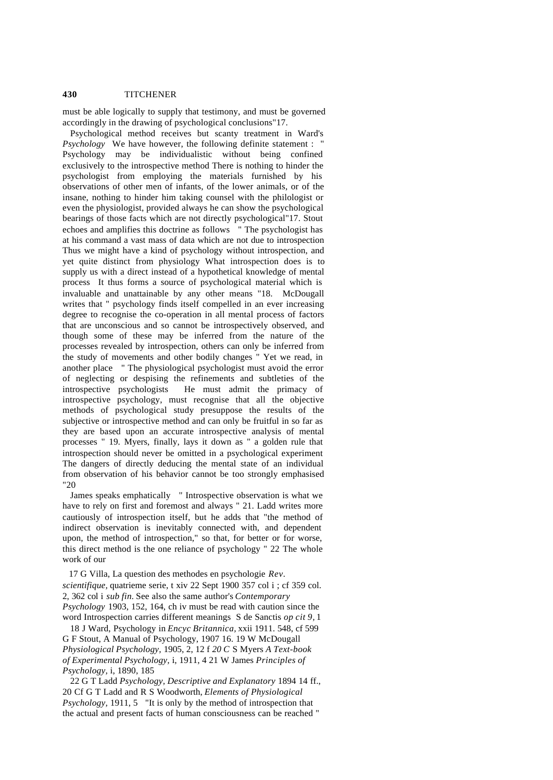must be able logically to supply that testimony, and must be governed accordingly in the drawing of psychological conclusions"17.

Psychological method receives but scanty treatment in Ward's *Psychology* We have however, the following definite statement : " Psychology may be individualistic without being confined exclusively to the introspective method There is nothing to hinder the psychologist from employing the materials furnished by his observations of other men of infants, of the lower animals, or of the insane, nothing to hinder him taking counsel with the philologist or even the physiologist, provided always he can show the psychological bearings of those facts which are not directly psychological"17. Stout echoes and amplifies this doctrine as follows " The psychologist has at his command a vast mass of data which are not due to introspection Thus we might have a kind of psychology without introspection, and yet quite distinct from physiology What introspection does is to supply us with a direct instead of a hypothetical knowledge of mental process It thus forms a source of psychological material which is invaluable and unattainable by any other means "18. McDougall writes that " psychology finds itself compelled in an ever increasing degree to recognise the co-operation in all mental process of factors that are unconscious and so cannot be introspectively observed, and though some of these may be inferred from the nature of the processes revealed by introspection, others can only be inferred from the study of movements and other bodily changes " Yet we read, in another place " The physiological psychologist must avoid the error of neglecting or despising the refinements and subtleties of the introspective psychologists He must admit the primacy of introspective psychology, must recognise that all the objective methods of psychological study presuppose the results of the subjective or introspective method and can only be fruitful in so far as they are based upon an accurate introspective analysis of mental processes " 19. Myers, finally, lays it down as " a golden rule that introspection should never be omitted in a psychological experiment The dangers of directly deducing the mental state of an individual from observation of his behavior cannot be too strongly emphasised "20

James speaks emphatically " Introspective observation is what we have to rely on first and foremost and always " 21. Ladd writes more cautiously of introspection itself, but he adds that "the method of indirect observation is inevitably connected with, and dependent upon, the method of introspection," so that, for better or for worse, this direct method is the one reliance of psychology " 22 The whole work of our

17 G Villa, La question des methodes en psychologie *Rev. scientifique,* quatrieme serie, t xiv 22 Sept 1900 357 col i ; cf 359 col. 2, 362 col i *sub fin.* See also the same author's *Contemporary Psychology* 1903, 152, 164, ch iv must be read with caution since the word Introspection carries different meanings S de Sanctis *op cit 9,* 1

18 J Ward, Psychology in *Encyc Britannica,* xxii 1911. 548, cf 599 G F Stout, A Manual of Psychology, 1907 16. 19 W McDougall *Physiological Psychology,* 1905, 2, 12 f *20 C* S Myers *A Text-book of Experimental Psychology,* i, 1911, 4 21 W James *Principles of Psychology,* i, 1890, 185

22 G T Ladd *Psychology, Descriptive and Explanatory* 1894 14 ff., 20 Cf G T Ladd and R S Woodworth, *Elements of Physiological Psychology,* 1911, 5 "It is only by the method of introspection that the actual and present facts of human consciousness can be reached "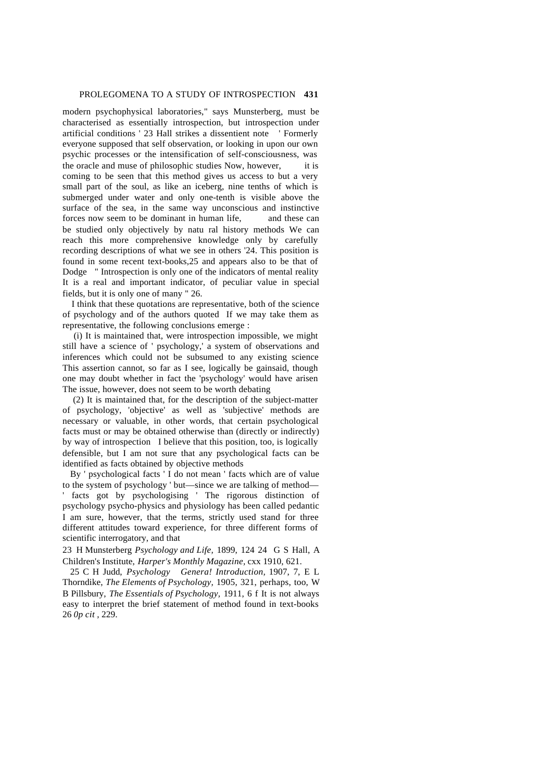## PROLEGOMENA TO A STUDY OF INTROSPECTION **431**

modern psychophysical laboratories," says Munsterberg, must be characterised as essentially introspection, but introspection under artificial conditions ' 23 Hall strikes a dissentient note ' Formerly everyone supposed that self observation, or looking in upon our own psychic processes or the intensification of self-consciousness, was the oracle and muse of philosophic studies Now, however, it is coming to be seen that this method gives us access to but a very small part of the soul, as like an iceberg, nine tenths of which is submerged under water and only one-tenth is visible above the surface of the sea, in the same way unconscious and instinctive forces now seem to be dominant in human life, and these can be studied only objectively by natu ral history methods We can reach this more comprehensive knowledge only by carefully recording descriptions of what we see in others '24. This position is found in some recent text-books,25 and appears also to be that of Dodge " Introspection is only one of the indicators of mental reality It is a real and important indicator, of peculiar value in special fields, but it is only one of many " 26.

I think that these quotations are representative, both of the science of psychology and of the authors quoted If we may take them as representative, the following conclusions emerge :

(i) It is maintained that, were introspection impossible, we might still have a science of ' psychology,' a system of observations and inferences which could not be subsumed to any existing science This assertion cannot, so far as I see, logically be gainsaid, though one may doubt whether in fact the 'psychology' would have arisen The issue, however, does not seem to be worth debating

(2) It is maintained that, for the description of the subject-matter of psychology, 'objective' as well as 'subjective' methods are necessary or valuable, in other words, that certain psychological facts must or may be obtained otherwise than (directly or indirectly) by way of introspection I believe that this position, too, is logically defensible, but I am not sure that any psychological facts can be identified as facts obtained by objective methods

By ' psychological facts ' I do not mean ' facts which are of value to the system of psychology ' but—since we are talking of method— ' facts got by psychologising ' The rigorous distinction of psychology psycho-physics and physiology has been called pedantic I am sure, however, that the terms, strictly used stand for three different attitudes toward experience, for three different forms of scientific interrogatory, and that

23 H Munsterberg *Psychology and Life,* 1899, 124 24 G S Hall, A Children's Institute, *Harper's Monthly Magazine,* cxx 1910, 621.

25 C H Judd, *Psychology Genera! Introduction,* 1907, 7, E L Thorndike, *The Elements of Psychology,* 1905, 321, perhaps, too, W B Pillsbury, *The Essentials of Psychology,* 1911, 6 f It is not always easy to interpret the brief statement of method found in text-books 26 *0p cit ,* 229.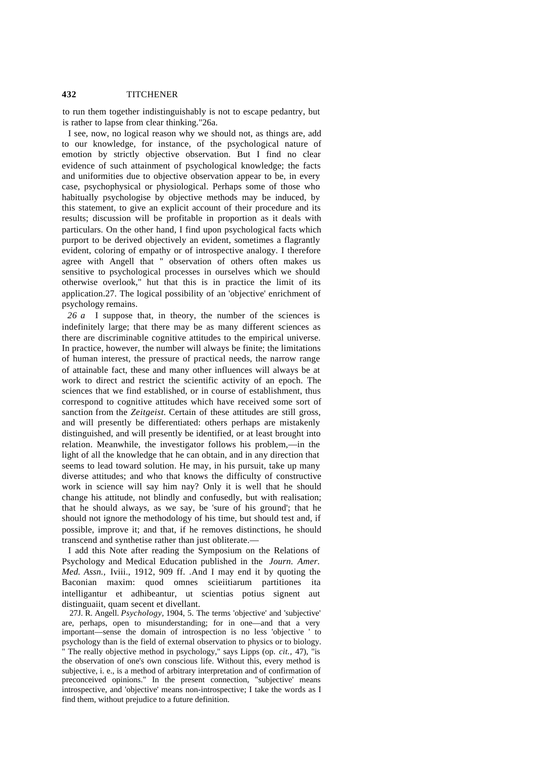to run them together indistinguishably is not to escape pedantry, but is rather to lapse from clear thinking."26a.

I see, now, no logical reason why we should not, as things are, add to our knowledge, for instance, of the psychological nature of emotion by strictly objective observation. But I find no clear evidence of such attainment of psychological knowledge; the facts and uniformities due to objective observation appear to be, in every case, psychophysical or physiological. Perhaps some of those who habitually psychologise by objective methods may be induced, by this statement, to give an explicit account of their procedure and its results; discussion will be profitable in proportion as it deals with particulars. On the other hand, I find upon psychological facts which purport to be derived objectively an evident, sometimes a flagrantly evident, coloring of empathy or of introspective analogy. I therefore agree with Angell that " observation of others often makes us sensitive to psychological processes in ourselves which we should otherwise overlook," hut that this is in practice the limit of its application.27. The logical possibility of an 'objective' enrichment of psychology remains.

*26 a* I suppose that, in theory, the number of the sciences is indefinitely large; that there may be as many different sciences as there are discriminable cognitive attitudes to the empirical universe. In practice, however, the number will always be finite; the limitations of human interest, the pressure of practical needs, the narrow range of attainable fact, these and many other influences will always be at work to direct and restrict the scientific activity of an epoch. The sciences that we find established, or in course of establishment, thus correspond to cognitive attitudes which have received some sort of sanction from the *Zeitgeist.* Certain of these attitudes are still gross, and will presently be differentiated: others perhaps are mistakenly distinguished, and will presently be identified, or at least brought into relation. Meanwhile, the investigator follows his problem,—in the light of all the knowledge that he can obtain, and in any direction that seems to lead toward solution. He may, in his pursuit, take up many diverse attitudes; and who that knows the difficulty of constructive work in science will say him nay? Only it is well that he should change his attitude, not blindly and confusedly, but with realisation; that he should always, as we say, be 'sure of his ground'; that he should not ignore the methodology of his time, but should test and, if possible, improve it; and that, if he removes distinctions, he should transcend and synthetise rather than just obliterate.—

I add this Note after reading the Symposium on the Relations of Psychology and Medical Education published in the *Journ. Amer. Med. Assn.,* Iviii., 1912, 909 ff. .And I may end it by quoting the Baconian maxim: quod omnes scieiitiarum partitiones ita intelligantur et adhibeantur, ut scientias potius signent aut distinguaiit, quam secent et divellant.

27J. R. Angell. *Psychology,* 1904, 5. The terms 'objective' and 'subjective' are, perhaps, open to misunderstanding; for in one—and that a very important—sense the domain of introspection is no less 'objective ' to psychology than is the field of external observation to physics or to biology. " The really objective method in psychology," says Lipps (op. *cit.,* 47), "is the observation of one's own conscious life. Without this, every method is subjective, i. e., is a method of arbitrary interpretation and of confirmation of preconceived opinions." In the present connection, "subjective' means introspective, and 'objective' means non-introspective; I take the words as I find them, without prejudice to a future definition.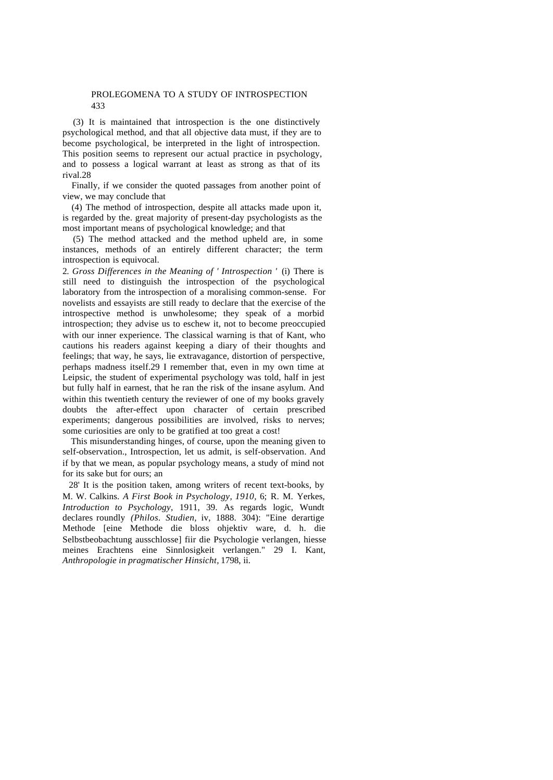## PROLEGOMENA TO A STUDY OF INTROSPECTION 433

(3) It is maintained that introspection is the one distinctively psychological method, and that all objective data must, if they are to become psychological, be interpreted in the light of introspection. This position seems to represent our actual practice in psychology, and to possess a logical warrant at least as strong as that of its rival.28

Finally, if we consider the quoted passages from another point of view, we may conclude that

(4) The method of introspection, despite all attacks made upon it, is regarded by the. great majority of present-day psychologists as the most important means of psychological knowledge; and that

(5) The method attacked and the method upheld are, in some instances, methods of an entirely different character; the term introspection is equivocal.

2. *Gross Differences in the Meaning of ' Introspection '* (i) There is still need to distinguish the introspection of the psychological laboratory from the introspection of a moralising common-sense. For novelists and essayists are still ready to declare that the exercise of the introspective method is unwholesome; they speak of a morbid introspection; they advise us to eschew it, not to become preoccupied with our inner experience. The classical warning is that of Kant, who cautions his readers against keeping a diary of their thoughts and feelings; that way, he says, lie extravagance, distortion of perspective, perhaps madness itself.29 I remember that, even in my own time at Leipsic, the student of experimental psychology was told, half in jest but fully half in earnest, that he ran the risk of the insane asylum. And within this twentieth century the reviewer of one of my books gravely doubts the after-effect upon character of certain prescribed experiments; dangerous possibilities are involved, risks to nerves; some curiosities are only to be gratified at too great a cost!

This misunderstanding hinges, of course, upon the meaning given to self-observation., Introspection, let us admit, is self-observation. And if by that we mean, as popular psychology means, a study of mind not for its sake but for ours; an

28' It is the position taken, among writers of recent text-books, by M. W. Calkins. *A First Book in Psychology, 1910,* 6; R. M. Yerkes, *Introduction to Psychology,* 1911, 39. As regards logic, Wundt declares roundly *(Philos. Studien,* iv, 1888. 304): "Eine derartige Methode [eine Methode die bloss ohjektiv ware, d. h. die Selbstbeobachtung ausschlosse] fiir die Psychologie verlangen, hiesse meines Erachtens eine Sinnlosigkeit verlangen." 29 I. Kant, *Anthropologie in pragmatischer Hinsicht,* 1798, ii.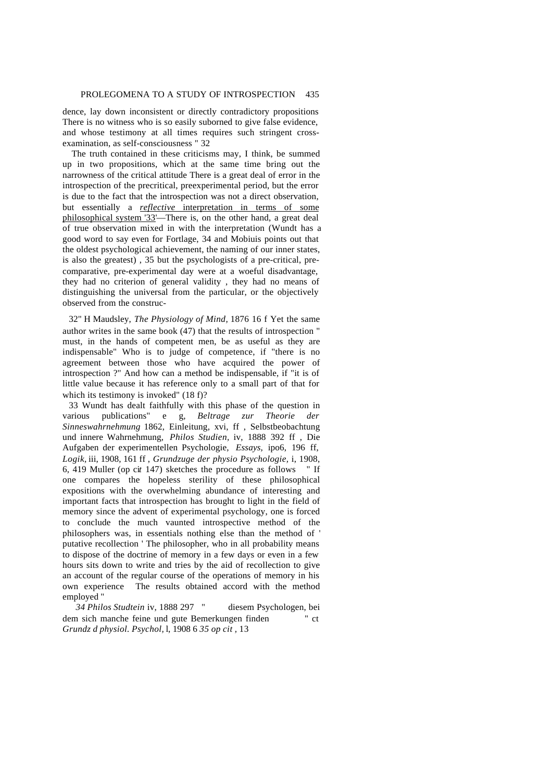dence, lay down inconsistent or directly contradictory propositions There is no witness who is so easily suborned to give false evidence, and whose testimony at all times requires such stringent crossexamination, as self-consciousness " 32

The truth contained in these criticisms may, I think, be summed up in two propositions, which at the same time bring out the narrowness of the critical attitude There is a great deal of error in the introspection of the precritical, preexperimental period, but the error is due to the fact that the introspection was not a direct observation, but essentially a *reflective* interpretation in terms of some philosophical system '33'—There is, on the other hand, a great deal of true observation mixed in with the interpretation (Wundt has a good word to say even for Fortlage, 34 and Mobiuis points out that the oldest psychological achievement, the naming of our inner states, is also the greatest) , 35 but the psychologists of a pre-critical, precomparative, pre-experimental day were at a woeful disadvantage, they had no criterion of general validity , they had no means of distinguishing the universal from the particular, or the objectively observed from the construc-

32" H Maudsley, *The Physiology of Mind,* 1876 16 f Yet the same author writes in the same book (47) that the results of introspection " must, in the hands of competent men, be as useful as they are indispensable" Who is to judge of competence, if "there is no agreement between those who have acquired the power of introspection ?" And how can a method be indispensable, if "it is of little value because it has reference only to a small part of that for which its testimony is invoked" (18 f)?

33 Wundt has dealt faithfully with this phase of the question in various publications" e g, *Beltrage zur Theorie der Sinneswahrnehmung* 1862, Einleitung, xvi, ff , Selbstbeobachtung und innere Wahrnehmung, *Philos Studien,* iv, 1888 392 ff , Die Aufgaben der experimentellen Psychologie, *Essays,* ipo6, 196 ff, *Logik,* iii, 1908, 161 ff , *Grundzuge der physio Psychologie,* i, 1908, 6, 419 Muller (op ci*t* 147) sketches the procedure as follows " If one compares the hopeless sterility of these philosophical expositions with the overwhelming abundance of interesting and important facts that introspection has brought to light in the field of memory since the advent of experimental psychology, one is forced to conclude the much vaunted introspective method of the philosophers was, in essentials nothing else than the method of ' putative recollection ' The philosopher, who in all probability means to dispose of the doctrine of memory in a few days or even in a few hours sits down to write and tries by the aid of recollection to give an account of the regular course of the operations of memory in his own experience The results obtained accord with the method employed "

*34 Philos Studtein* iv, 1888 297 " diesem Psychologen, bei dem sich manche feine und gute Bemerkungen finden " ct *Grundz d physiol. Psychol,* l, 1908 6 *35 op cit ,* 13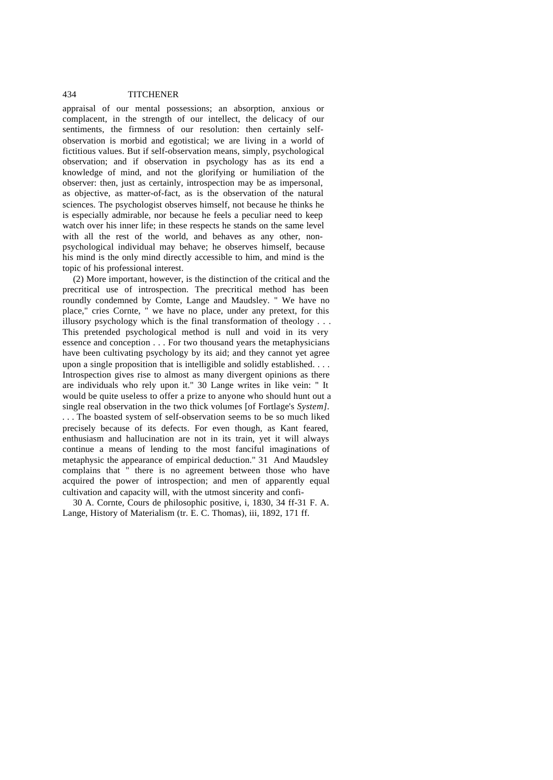appraisal of our mental possessions; an absorption, anxious or complacent, in the strength of our intellect, the delicacy of our sentiments, the firmness of our resolution: then certainly selfobservation is morbid and egotistical; we are living in a world of fictitious values. But if self-observation means, simply, psychological observation; and if observation in psychology has as its end a knowledge of mind, and not the glorifying or humiliation of the observer: then, just as certainly, introspection may be as impersonal, as objective, as matter-of-fact, as is the observation of the natural sciences. The psychologist observes himself, not because he thinks he is especially admirable, nor because he feels a peculiar need to keep watch over his inner life; in these respects he stands on the same level with all the rest of the world, and behaves as any other, nonpsychological individual may behave; he observes himself, because his mind is the only mind directly accessible to him, and mind is the topic of his professional interest.

(2) More important, however, is the distinction of the critical and the precritical use of introspection. The precritical method has been roundly condemned by Comte, Lange and Maudsley. " We have no place," cries Cornte, " we have no place, under any pretext, for this illusory psychology which is the final transformation of theology  $\dots$ This pretended psychological method is null and void in its very essence and conception . . . For two thousand years the metaphysicians have been cultivating psychology by its aid; and they cannot yet agree upon a single proposition that is intelligible and solidly established. . . . Introspection gives rise to almost as many divergent opinions as there are individuals who rely upon it." 30 Lange writes in like vein: " It would be quite useless to offer a prize to anyone who should hunt out a single real observation in the two thick volumes [of Fortlage's *System]. . . .* The boasted system of self-observation seems to be so much liked precisely because of its defects. For even though, as Kant feared, enthusiasm and hallucination are not in its train, yet it will always continue a means of lending to the most fanciful imaginations of metaphysic the appearance of empirical deduction." 31 And Maudsley complains that " there is no agreement between those who have acquired the power of introspection; and men of apparently equal cultivation and capacity will, with the utmost sincerity and confi-

30 A. Cornte, Cours de philosophic positive, i, 1830, 34 ff-31 F. A. Lange, History of Materialism (tr. E. C. Thomas), iii, 1892, 171 ff.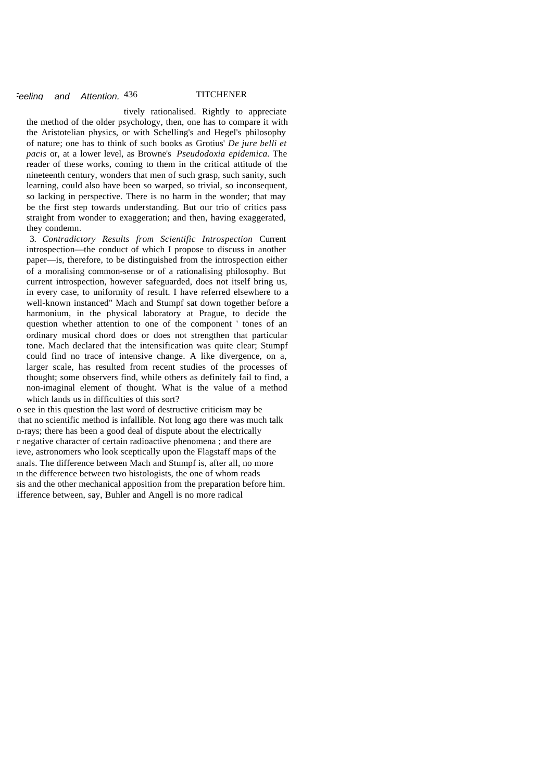tively rationalised. Rightly to appreciate the method of the older psychology, then, one has to compare it with the Aristotelian physics, or with Schelling's and Hegel's philosophy of nature; one has to think of such books as Grotius' *De jure belli et pacis* or, at a lower level, as Browne's *Pseudodoxia epidemica.* The reader of these works, coming to them in the critical attitude of the nineteenth century, wonders that men of such grasp, such sanity, such learning, could also have been so warped, so trivial, so inconsequent, so lacking in perspective. There is no harm in the wonder; that may be the first step towards understanding. But our trio of critics pass straight from wonder to exaggeration; and then, having exaggerated, they condemn.

3. *Contradictory Results from Scientific Introspection* Current introspection—the conduct of which I propose to discuss in another paper—is, therefore, to be distinguished from the introspection either of a moralising common-sense or of a rationalising philosophy. But current introspection, however safeguarded, does not itself bring us, in every case, to uniformity of result. I have referred elsewhere to a well-known instanced" Mach and Stumpf sat down together before a harmonium, in the physical laboratory at Prague, to decide the question whether attention to one of the component ' tones of an ordinary musical chord does or does not strengthen that particular tone. Mach declared that the intensification was quite clear; Stumpf could find no trace of intensive change. A like divergence, on a, larger scale, has resulted from recent studies of the processes of thought; some observers find, while others as definitely fail to find, a non-imaginal element of thought. What is the value of a method which lands us in difficulties of this sort?

o see in this question the last word of destructive criticism may be that no scientific method is infallible. Not long ago there was much talk he n-rays; there has been a good deal of dispute about the electrically r negative character of certain radioactive phenomena ; and there are elieve, astronomers who look sceptically upon the Flagstaff maps of the anals. The difference between Mach and Stumpf is, after all, no more in the difference between two histologists, the one of whom reads sis and the other mechanical apposition from the preparation before him. lifference between, say, Buhler and Angell is no more radical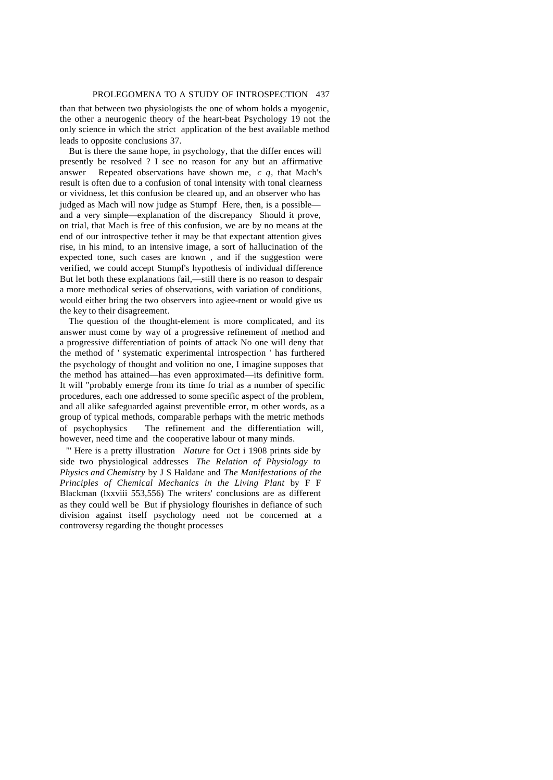than that between two physiologists the one of whom holds a myogenic, the other a neurogenic theory of the heart-beat Psychology 19 not the only science in which the strict application of the best available method leads to opposite conclusions 37.

But is there the same hope, in psychology, that the differ ences will presently be resolved ? I see no reason for any but an affirmative answer Repeated observations have shown me, *c q,* that Mach's result is often due to a confusion of tonal intensity with tonal clearness or vividness, let this confusion be cleared up, and an observer who has judged as Mach will now judge as Stumpf Here, then, is a possible and a very simple—explanation of the discrepancy Should it prove, on trial, that Mach is free of this confusion, we are by no means at the end of our introspective tether it may be that expectant attention gives rise, in his mind, to an intensive image, a sort of hallucination of the expected tone, such cases are known , and if the suggestion were verified, we could accept Stumpf's hypothesis of individual difference But let both these explanations fail,—still there is no reason to despair a more methodical series of observations, with variation of conditions, would either bring the two observers into agiee-rnent or would give us the key to their disagreement.

The question of the thought-element is more complicated, and its answer must come by way of a progressive refinement of method and a progressive differentiation of points of attack No one will deny that the method of ' systematic experimental introspection ' has furthered the psychology of thought and volition no one, I imagine supposes that the method has attained—has even approximated—its definitive form. It will "probably emerge from its time fo trial as a number of specific procedures, each one addressed to some specific aspect of the problem, and all alike safeguarded against preventible error, m other words, as a group of typical methods, comparable perhaps with the metric methods of psychophysics The refinement and the differentiation will, however, need time and the cooperative labour ot many minds.

"' Here is a pretty illustration *Nature* for Oct i 1908 prints side by side two physiological addresses *The Relation of Physiology to Physics and Chemistry* by J S Haldane and *The Manifestations of the Principles of Chemical Mechanics in the Living Plant* by F F Blackman (lxxviii 553,556) The writers' conclusions are as different as they could well be But if physiology flourishes in defiance of such division against itself psychology need not be concerned at a controversy regarding the thought processes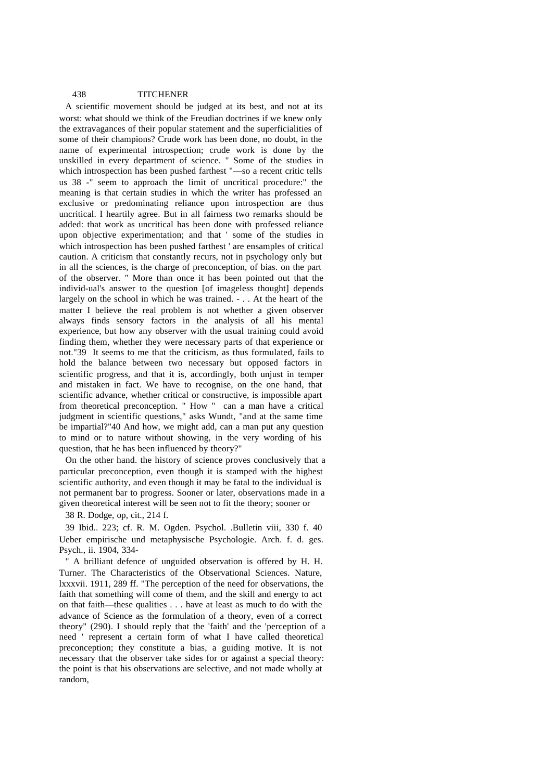A scientific movement should be judged at its best, and not at its worst: what should we think of the Freudian doctrines if we knew only the extravagances of their popular statement and the superficialities of some of their champions? Crude work has been done, no doubt, in the name of experimental introspection; crude work is done by the unskilled in every department of science. " Some of the studies in which introspection has been pushed farthest "—so a recent critic tells us 38 -" seem to approach the limit of uncritical procedure:" the meaning is that certain studies in which the writer has professed an exclusive or predominating reliance upon introspection are thus uncritical. I heartily agree. But in all fairness two remarks should be added: that work as uncritical has been done with professed reliance upon objective experimentation; and that ' some of the studies in which introspection has been pushed farthest ' are ensamples of critical caution. A criticism that constantly recurs, not in psychology only but in all the sciences, is the charge of preconception, of bias. on the part of the observer. '' More than once it has been pointed out that the individ-ual's answer to the question [of imageless thought] depends largely on the school in which he was trained. - . . At the heart of the matter I believe the real problem is not whether a given observer always finds sensory factors in the analysis of all his mental experience, but how any observer with the usual training could avoid finding them, whether they were necessary parts of that experience or not."39 It seems to me that the criticism, as thus formulated, fails to hold the balance between two necessary but opposed factors in scientific progress, and that it is, accordingly, both unjust in temper and mistaken in fact. We have to recognise, on the one hand, that scientific advance, whether critical or constructive, is impossible apart from theoretical preconception. " How " can a man have a critical judgment in scientific questions," asks Wundt, "and at the same time be impartial?"40 And how, we might add, can a man put any question to mind or to nature without showing, in the very wording of his question, that he has been influenced by theory?"

On the other hand. the history of science proves conclusively that a particular preconception, even though it is stamped with the highest scientific authority, and even though it may be fatal to the individual is not permanent bar to progress. Sooner or later, observations made in a given theoretical interest will be seen not to fit the theory; sooner or

38 R. Dodge, op, cit., 214 f.

39 Ibid.. 223; cf. R. M. Ogden. Psychol. .Bulletin viii, 330 f. 40 Ueber empirische und metaphysische Psychologie. Arch. f. d. ges. Psych., ii. 1904, 334-

" A brilliant defence of unguided observation is offered by H. H. Turner. The Characteristics of the Observational Sciences. Nature, lxxxvii. 1911, 289 ff. "The perception of the need for observations, the faith that something will come of them, and the skill and energy to act on that faith—these qualities . . . have at least as much to do with the advance of Science as the formulation of a theory, even of a correct theory" (290). I should reply that the 'faith' and the 'perception of a need ' represent a certain form of what I have called theoretical preconception; they constitute a bias, a guiding motive. It is not necessary that the observer take sides for or against a special theory: the point is that his observations are selective, and not made wholly at random,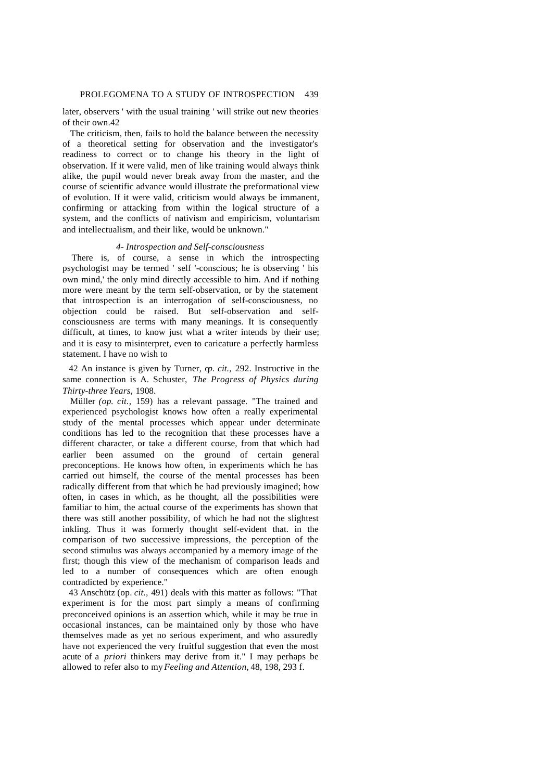later, observers ' with the usual training ' will strike out new theories of their own.42

The criticism, then, fails to hold the balance between the necessity of a theoretical setting for observation and the investigator's readiness to correct or to change his theory in the light of observation. If it were valid, men of like training would always think alike, the pupil would never break away from the master, and the course of scientific advance would illustrate the preformational view of evolution. If it were valid, criticism would always be immanent, confirming or attacking from within the logical structure of a system, and the conflicts of nativism and empiricism, voluntarism and intellectualism, and their like, would be unknown."

#### *4- Introspection and Self-consciousness*

There is, of course, a sense in which the introspecting psychologist may be termed ' self '-conscious; he is observing ' his own mind,' the only mind directly accessible to him. And if nothing more were meant by the term self-observation, or by the statement that introspection is an interrogation of self-consciousness, no objection could be raised. But self-observation and selfconsciousness are terms with many meanings. It is consequently difficult, at times, to know just what a writer intends by their use; and it is easy to misinterpret, even to caricature a perfectly harmless statement. I have no wish to

42 An instance is given by Turner, o*p. cit.,* 292. Instructive in the same connection is A. Schuster, *The Progress of Physics during Thirty-three Years,* 1908.

Müller *(op. cit.,* 159) has a relevant passage. "The trained and experienced psychologist knows how often a really experimental study of the mental processes which appear under determinate conditions has led to the recognition that these processes have a different character, or take a different course, from that which had earlier been assumed on the ground of certain general preconceptions. He knows how often, in experiments which he has carried out himself, the course of the mental processes has been radically different from that which he had previously imagined; how often, in cases in which, as he thought, all the possibilities were familiar to him, the actual course of the experiments has shown that there was still another possibility, of which he had not the slightest inkling. Thus it was formerly thought self-evident that. in the comparison of two successive impressions, the perception of the second stimulus was always accompanied by a memory image of the first; though this view of the mechanism of comparison leads and led to a number of consequences which are often enough contradicted by experience."

43 Anschütz (op. *cit.,* 491) deals with this matter as follows: "That experiment is for the most part simply a means of confirming preconceived opinions is an assertion which, while it may be true in occasional instances, can be maintained only by those who have themselves made as yet no serious experiment, and who assuredly have not experienced the very fruitful suggestion that even the most acute of a *priori* thinkers may derive from it." I may perhaps be allowed to refer also to my *Feeling and Attention,* 48, 198, 293 f.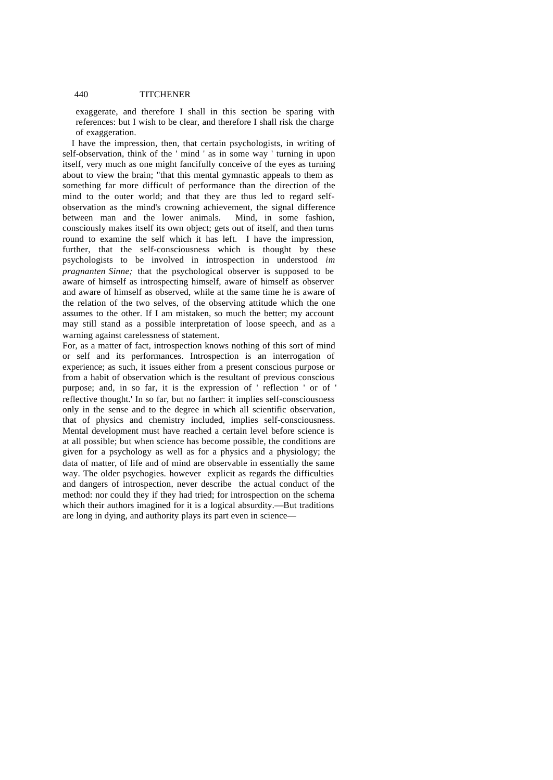exaggerate, and therefore I shall in this section be sparing with references: but I wish to be clear, and therefore I shall risk the charge of exaggeration.

I have the impression, then, that certain psychologists, in writing of self-observation, think of the ' mind ' as in some way ' turning in upon itself, very much as one might fancifully conceive of the eyes as turning about to view the brain; "that this mental gymnastic appeals to them as something far more difficult of performance than the direction of the mind to the outer world; and that they are thus led to regard selfobservation as the mind's crowning achievement, the signal difference between man and the lower animals. Mind, in some fashion, consciously makes itself its own object; gets out of itself, and then turns round to examine the self which it has left. I have the impression, further, that the self-consciousness which is thought by these psychologists to be involved in introspection in understood *im pragnanten Sinne*; that the psychological observer is supposed to be aware of himself as introspecting himself, aware of himself as observer and aware of himself as observed, while at the same time he is aware of the relation of the two selves, of the observing attitude which the one assumes to the other. If I am mistaken, so much the better; my account may still stand as a possible interpretation of loose speech, and as a warning against carelessness of statement.

For, as a matter of fact, introspection knows nothing of this sort of mind or self and its performances. Introspection is an interrogation of experience; as such, it issues either from a present conscious purpose or from a habit of observation which is the resultant of previous conscious purpose; and, in so far, it is the expression of ' reflection ' or of ' reflective thought.' In so far, but no farther: it implies self-consciousness only in the sense and to the degree in which all scientific observation, that of physics and chemistry included, implies self-consciousness. Mental development must have reached a certain level before science is at all possible; but when science has become possible, the conditions are given for a psychology as well as for a physics and a physiology; the data of matter, of life and of mind are observable in essentially the same way. The older psychogies. however explicit as regards the difficulties and dangers of introspection, never describe the actual conduct of the method: nor could they if they had tried; for introspection on the schema which their authors imagined for it is a logical absurdity.—But traditions are long in dying, and authority plays its part even in science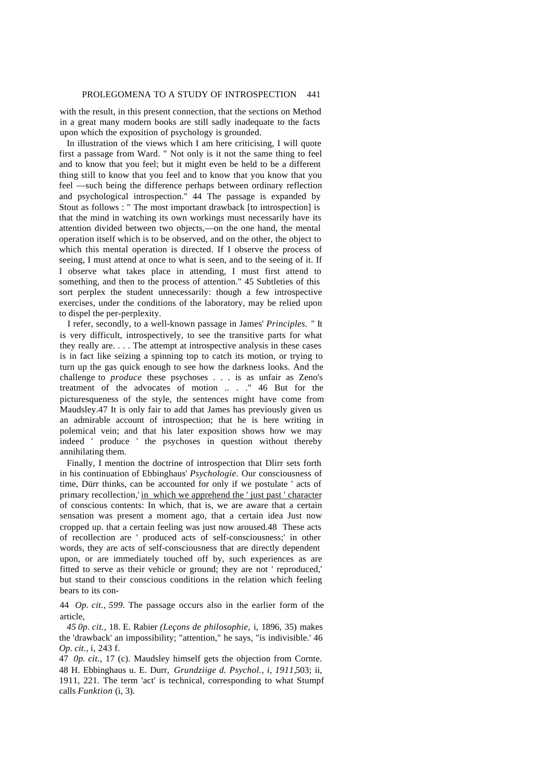with the result, in this present connection, that the sections on Method in a great many modern books are still sadly inadequate to the facts upon which the exposition of psychology is grounded.

In illustration of the views which I am here criticising, I will quote first a passage from Ward. " Not only is it not the same thing to feel and to know that you feel; but it might even be held to be a different thing still to know that you feel and to know that you know that you feel —such being the difference perhaps between ordinary reflection and psychological introspection." 44 The passage is expanded by Stout as follows : " The most important drawback [to introspection] is that the mind in watching its own workings must necessarily have its attention divided between two objects,—on the one hand, the mental operation itself which is to be observed, and on the other, the object to which this mental operation is directed. If I observe the process of seeing, I must attend at once to what is seen, and to the seeing of it. If I observe what takes place in attending, I must first attend to something, and then to the process of attention." 45 Subtleties of this sort perplex the student unnecessarily: though a few introspective exercises, under the conditions of the laboratory, may be relied upon to dispel the per-perplexity.

I refer, secondly, to a well-known passage in James' *Principles. "* It is very difficult, introspectively, to see the transitive parts for what they really are. . . . The attempt at introspective analysis in these cases is in fact like seizing a spinning top to catch its motion, or trying to turn up the gas quick enough to see how the darkness looks. And the challenge to *produce* these psychoses . . . is as unfair as Zeno's treatment of the advocates of motion .. . ." 46 But for the picturesqueness of the style, the sentences might have come from Maudsley.47 It is only fair to add that James has previously given us an admirable account of introspection; that he is here writing in polemical vein; and that his later exposition shows how we may indeed ' produce ' the psychoses in question without thereby annihilating them.

Finally, I mention the doctrine of introspection that Dlirr sets forth in his continuation of Ebbinghaus' *Psychologie.* Our consciousness of time, Dürr thinks, can be accounted for only if we postulate ' acts of primary recollection,' in which we apprehend the ' just past ' character of conscious contents: In which, that is, we are aware that a certain sensation was present a moment ago, that a certain idea Just now cropped up. that a certain feeling was just now aroused.48 These acts of recollection are ' produced acts of self-consciousness;' in other words, they are acts of self-consciousness that are directly dependent upon, or are immediately touched off by, such experiences as are fitted to serve as their vehicle or ground; they are not ' reproduced,' but stand to their conscious conditions in the relation which feeling bears to its con-

44 *Op. cit., 599.* The passage occurs also in the earlier form of the article,

*45 0p. cit.,* 18. E. Rabier *(Leçons de philosophie,* i, 1896, 35) makes the 'drawback' an impossibility; "attention," he says, "is indivisible.' 46 *Op. cit.,* i, 243 f.

47 *0p. cit.,* 17 (c). Maudsley himself gets the objection from Cornte. 48 H. Ebbinghaus u. E. Durr, *Grundziige d. Psychol., i, 1911,*503; ii, 1911, 221. The term 'act' is technical, corresponding to what Stumpf calls *Funktion* (i, 3).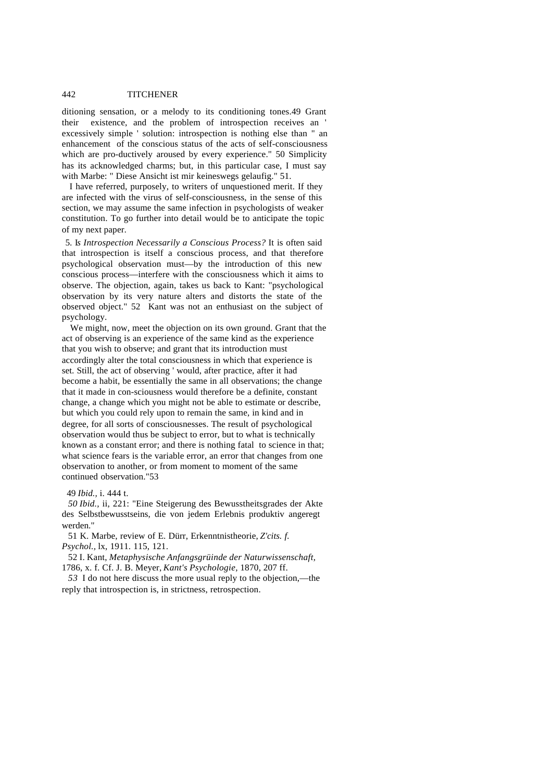ditioning sensation, or a melody to its conditioning tones.49 Grant their existence, and the problem of introspection receives an ' excessively simple ' solution: introspection is nothing else than " an enhancement of the conscious status of the acts of self-consciousness which are pro-ductively aroused by every experience." 50 Simplicity has its acknowledged charms; but, in this particular case, I must say with Marbe: " Diese Ansicht ist mir keineswegs gelaufig." 51.

I have referred, purposely, to writers of unquestioned merit. If they are infected with the virus of self-consciousness, in the sense of this section, we may assume the same infection in psychologists of weaker constitution. To go further into detail would be to anticipate the topic of my next paper.

5. I*s Introspection Necessarily a Conscious Process?* It is often said that introspection is itself a conscious process, and that therefore psychological observation must—by the introduction of this new conscious process—interfere with the consciousness which it aims to observe. The objection, again, takes us back to Kant: "psychological observation by its very nature alters and distorts the state of the observed object." 52 Kant was not an enthusiast on the subject of psychology.

We might, now, meet the objection on its own ground. Grant that the act of observing is an experience of the same kind as the experience that you wish to observe; and grant that its introduction must accordingly alter the total consciousness in which that experience is set. Still, the act of observing ' would, after practice, after it had become a habit, be essentially the same in all observations; the change that it made in con-sciousness would therefore be a definite, constant change, a change which you might not be able to estimate or describe, but which you could rely upon to remain the same, in kind and in degree, for all sorts of consciousnesses. The result of psychological observation would thus be subject to error, but to what is technically known as a constant error; and there is nothing fatal to science in that; what science fears is the variable error, an error that changes from one observation to another, or from moment to moment of the same continued observation."53

49 *Ibid.,* i. 444 t.

*50 Ibid.,* ii, 221: "Eine Steigerung des Bewusstheitsgrades der Akte des Selbstbewusstseins, die von jedem Erlebnis produktiv angeregt werden."

51 K. Marbe, review of E. Dürr, Erkenntnistheorie, *Z'cits. f. Psychol.,* lx, 1911. 115, 121.

52 I. Kant, *Metaphysische Anfangsgrüinde der Naturwissenschaft,* 1786, x. f. Cf. J. B. Meyer, *Kant's Psychologie,* 1870, 207 ff.

*53* I do not here discuss the more usual reply to the objection,—the reply that introspection is, in strictness, retrospection.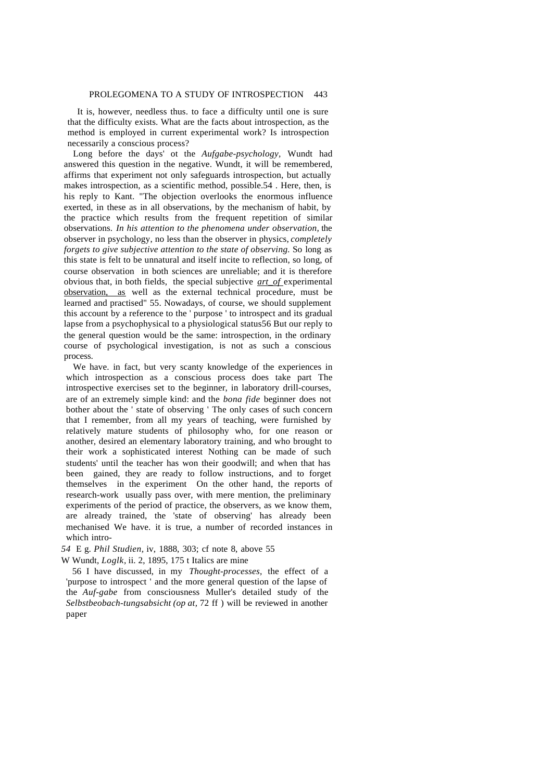It is, however, needless thus. to face a difficulty until one is sure that the difficulty exists. What are the facts about introspection, as the method is employed in current experimental work? Is introspection necessarily a conscious process?

Long before the days' ot the *Aufgabe-psychology,* Wundt had answered this question in the negative. Wundt, it will be remembered, affirms that experiment not only safeguards introspection, but actually makes introspection, as a scientific method, possible.54 . Here, then, is his reply to Kant. "The objection overlooks the enormous influence exerted, in these as in all observations, by the mechanism of habit, by the practice which results from the frequent repetition of similar observations. *In his attention to the phenomena under observation,* the observer in psychology, no less than the observer in physics, *completely forgets to give subjective attention to the state of observing.* So long as this state is felt to be unnatural and itself incite to reflection, so long, of course observation in both sciences are unreliable; and it is therefore obvious that, in both fields, the special subjective *art\_of* experimental observation, as well as the external technical procedure, must be learned and practised" 55. Nowadays, of course, we should supplement this account by a reference to the ' purpose ' to introspect and its gradual lapse from a psychophysical to a physiological status56 But our reply to the general question would be the same: introspection, in the ordinary course of psychological investigation, is not as such a conscious process.

We have. in fact, but very scanty knowledge of the experiences in which introspection as a conscious process does take part The introspective exercises set to the beginner, in laboratory drill-courses, are of an extremely simple kind: and the *bona fide* beginner does not bother about the ' state of observing ' The only cases of such concern that I remember, from all my years of teaching, were furnished by relatively mature students of philosophy who, for one reason or another, desired an elementary laboratory training, and who brought to their work a sophisticated interest Nothing can be made of such students' until the teacher has won their goodwill; and when that has been gained, they are ready to follow instructions, and to forget themselves in the experiment On the other hand, the reports of research-work usually pass over, with mere mention, the preliminary experiments of the period of practice, the observers, as we know them, are already trained, the 'state of observing' has already been mechanised We have. it is true, a number of recorded instances in which intro-

*54* E g. *Phil Studien,* iv, 1888, 303; cf note 8, above 55

W Wundt, *Loglk,* ii. 2, 1895, 175 t Italics are mine

56 I have discussed, in my *Thought-processes,* the effect of a 'purpose to introspect ' and the more general question of the lapse of the *Auf-gabe* from consciousness Muller's detailed study of the *Selbstbeobach-tungsabsicht (op at,* 72 ff ) will be reviewed in another paper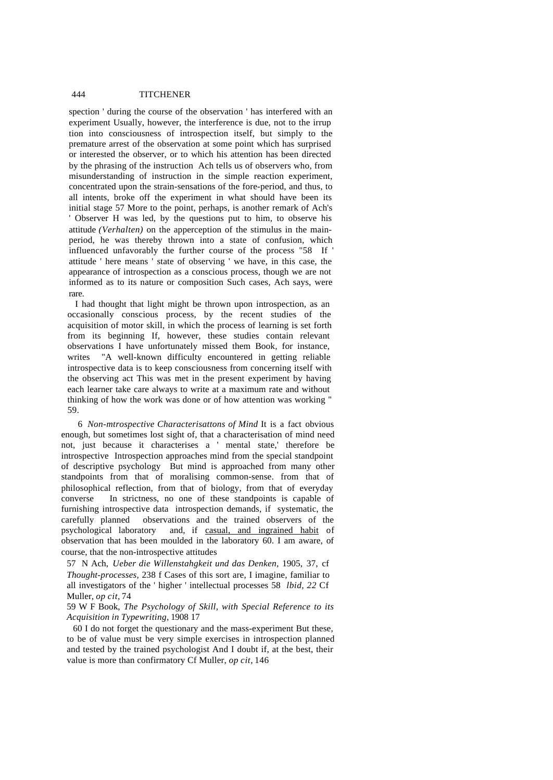spection ' during the course of the observation ' has interfered with an experiment Usually, however, the interference is due, not to the irrup tion into consciousness of introspection itself, but simply to the premature arrest of the observation at some point which has surprised or interested the observer, or to which his attention has been directed by the phrasing of the instruction Ach tells us of observers who, from misunderstanding of instruction in the simple reaction experiment, concentrated upon the strain-sensations of the fore-period, and thus, to all intents, broke off the experiment in what should have been its initial stage 57 More to the point, perhaps, is another remark of Ach's ' Observer H was led, by the questions put to him, to observe his attitude *(Verhalten)* on the apperception of the stimulus in the mainperiod, he was thereby thrown into a state of confusion, which influenced unfavorably the further course of the process "58 If ' attitude ' here means ' state of observing ' we have, in this case, the appearance of introspection as a conscious process, though we are not informed as to its nature or composition Such cases, Ach says, were rare.

I had thought that light might be thrown upon introspection, as an occasionally conscious process, by the recent studies of the acquisition of motor skill, in which the process of learning is set forth from its beginning If, however, these studies contain relevant observations I have unfortunately missed them Book, for instance, writes "A well-known difficulty encountered in getting reliable introspective data is to keep consciousness from concerning itself with the observing act This was met in the present experiment by having each learner take care always to write at a maximum rate and without thinking of how the work was done or of how attention was working " 59.

6 *Non-mtrospective Characterisattons of Mind* It is a fact obvious enough, but sometimes lost sight of, that a characterisation of mind need not, just because it characterises a ' mental state,' therefore be introspective Introspection approaches mind from the special standpoint of descriptive psychology But mind is approached from many other standpoints from that of moralising common-sense. from that of philosophical reflection, from that of biology, from that of everyday converse In strictness, no one of these standpoints is capable of furnishing introspective data introspection demands, if systematic, the carefully planned observations and the trained observers of the psychological laboratory and, if casual, and ingrained habit of observation that has been moulded in the laboratory 60. I am aware, of course, that the non-introspective attitudes

57 N Ach, *Ueber die Willenstahgkeit und das Denken,* 1905, 37, cf *Thought-processes,* 238 f Cases of this sort are, I imagine, familiar to all investigators of the ' higher ' intellectual processes 58 *lbid, 22* Cf Muller, *op cit,* 74

59 W F Book, *The Psychology of Skill, with Special Reference to its Acquisition in Typewriting,* 1908 17

60 I do not forget the questionary and the mass-experiment But these, to be of value must be very simple exercises in introspection planned and tested by the trained psychologist And I doubt if, at the best, their value is more than confirmatory Cf Muller, *op cit,* 146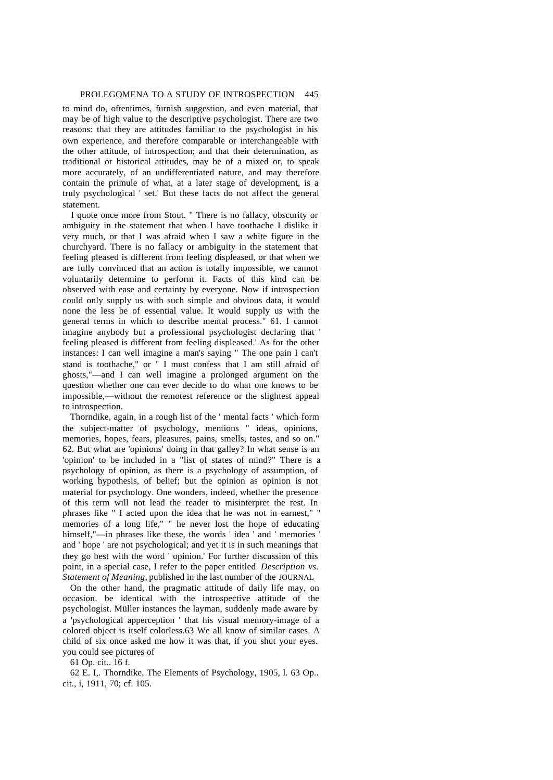to mind do, oftentimes, furnish suggestion, and even material, that may be of high value to the descriptive psychologist. There are two reasons: that they are attitudes familiar to the psychologist in his own experience, and therefore comparable or interchangeable with the other attitude, of introspection; and that their determination, as traditional or historical attitudes, may be of a mixed or, to speak more accurately, of an undifferentiated nature, and may therefore contain the primule of what, at a later stage of development, is a truly psychological ' set.' But these facts do not affect the general statement.

I quote once more from Stout. " There is no fallacy, obscurity or ambiguity in the statement that when I have toothache I dislike it very much, or that I was afraid when I saw a white figure in the churchyard. There is no fallacy or ambiguity in the statement that feeling pleased is different from feeling displeased, or that when we are fully convinced that an action is totally impossible, we cannot voluntarily determine to perform it. Facts of this kind can be observed with ease and certainty by everyone. Now if introspection could only supply us with such simple and obvious data, it would none the less be of essential value. It would supply us with the general terms in which to describe mental process." 61. I cannot imagine anybody but a professional psychologist declaring that ' feeling pleased is different from feeling displeased.' As for the other instances: I can well imagine a man's saying " The one pain I can't stand is toothache," or " I must confess that I am still afraid of ghosts,"—and I can well imagine a prolonged argument on the question whether one can ever decide to do what one knows to be impossible,—without the remotest reference or the slightest appeal to introspection.

Thorndike, again, in a rough list of the ' mental facts ' which form the subject-matter of psychology, mentions " ideas, opinions, memories, hopes, fears, pleasures, pains, smells, tastes, and so on." 62. But what are 'opinions' doing in that galley? In what sense is an 'opinion' to be included in a "list of states of mind?" There is a psychology of opinion, as there is a psychology of assumption, of working hypothesis, of belief; but the opinion as opinion is not material for psychology. One wonders, indeed, whether the presence of this term will not lead the reader to misinterpret the rest. In phrases like " I acted upon the idea that he was not in earnest," " memories of a long life," " he never lost the hope of educating himself,"—in phrases like these, the words ' idea ' and ' memories and ' hope ' are not psychological; and yet it is in such meanings that they go best with the word ' opinion.' For further discussion of this point, in a special case, I refer to the paper entitled *Description vs. Statement of Meaning,* published in the last number of the JOURNAL

On the other hand, the pragmatic attitude of daily life may, on occasion. be identical with the introspective attitude of the psychologist. Müller instances the layman, suddenly made aware by a 'psychological apperception ' that his visual memory-image of a colored object is itself colorless.63 We all know of similar cases. A child of six once asked me how it was that, if you shut your eyes. you could see pictures of

61 Op. cit.. 16 f.

62 E. I,. Thorndike, The Elements of Psychology, 1905, l. 63 Op.. cit., i, 1911, 70; cf. 105.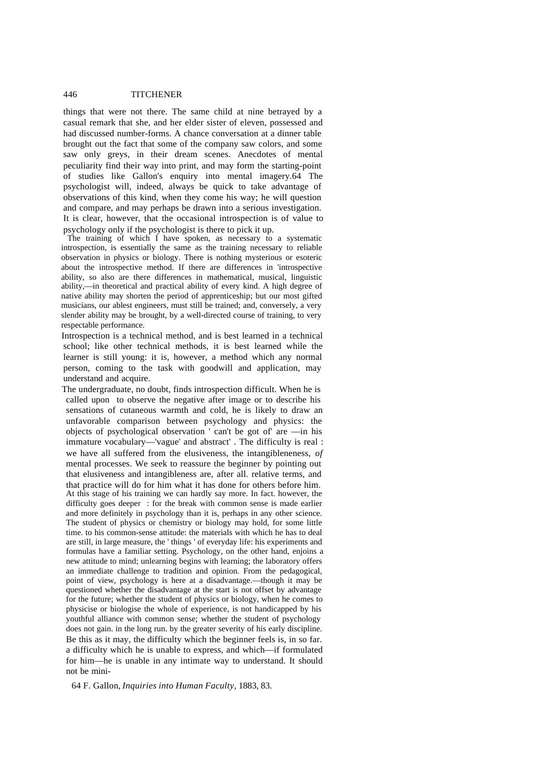things that were not there. The same child at nine betrayed by a casual remark that she, and her elder sister of eleven, possessed and had discussed number-forms. A chance conversation at a dinner table brought out the fact that some of the company saw colors, and some saw only greys, in their dream scenes. Anecdotes of mental peculiarity find their way into print, and may form the starting-point of studies like Gallon's enquiry into mental imagery.64 The psychologist will, indeed, always be quick to take advantage of observations of this kind, when they come his way; he will question and compare, and may perhaps be drawn into a serious investigation. It is clear, however, that the occasional introspection is of value to psychology only if the psychologist is there to pick it up.

The training of which I have spoken, as necessary to a systematic introspection, is essentially the same as the training necessary to reliable observation in physics or biology. There is nothing mysterious or esoteric about the introspective method. If there are differences in 'introspective ability, so also are there differences in mathematical, musical, linguistic ability,—in theoretical and practical ability of every kind. A high degree of native ability may shorten the period of apprenticeship; but our most gifted musicians, our ablest engineers, must still be trained; and, conversely, a very slender ability may be brought, by a well-directed course of training, to very respectable performance.

 Introspection is a technical method, and is best learned in a technical school; like other technical methods, it is best learned while the learner is still young: it is, however, a method which any normal person, coming to the task with goodwill and application, may understand and acquire.

The undergraduate, no doubt, finds introspection difficult. When he is called upon to observe the negative after image or to describe his sensations of cutaneous warmth and cold, he is likely to draw an unfavorable comparison between psychology and physics: the objects of psychological observation ' can't be got of' are —in his immature vocabulary—'vague' and abstract' . The difficulty is real : we have all suffered from the elusiveness, the intangibleneness, *of* mental processes. We seek to reassure the beginner by pointing out that elusiveness and intangibleness are, after all. relative terms, and that practice will do for him what it has done for others before him. At this stage of his training we can hardly say more. In fact. however, the difficulty goes deeper : for the break with common sense is made earlier and more definitely in psychology than it is, perhaps in any other science. The student of physics or chemistry or biology may hold, for some little time. to his common-sense attitude: the materials with which he has to deal are still, in large measure, the ' things ' of everyday life: his experiments and formulas have a familiar setting. Psychology, on the other hand, enjoins a new attitude to mind; unlearning begins with learning; the laboratory offers an immediate challenge to tradition and opinion. From the pedagogical, point of view, psychology is here at a disadvantage.—though it may be questioned whether the disadvantage at the start is not offset by advantage for the future; whether the student of physics or biology, when he comes to physicise or biologise the whole of experience, is not handicapped by his youthful alliance with common sense; whether the student of psychology does not gain. in the long run. by the greater severity of his early discipline. Be this as it may, the difficulty which the beginner feels is, in so far. a difficulty which he is unable to express, and which—if formulated for him—he is unable in any intimate way to understand. It should not be mini-

64 F. Gallon, *Inquiries into Human Faculty,* 1883, 83.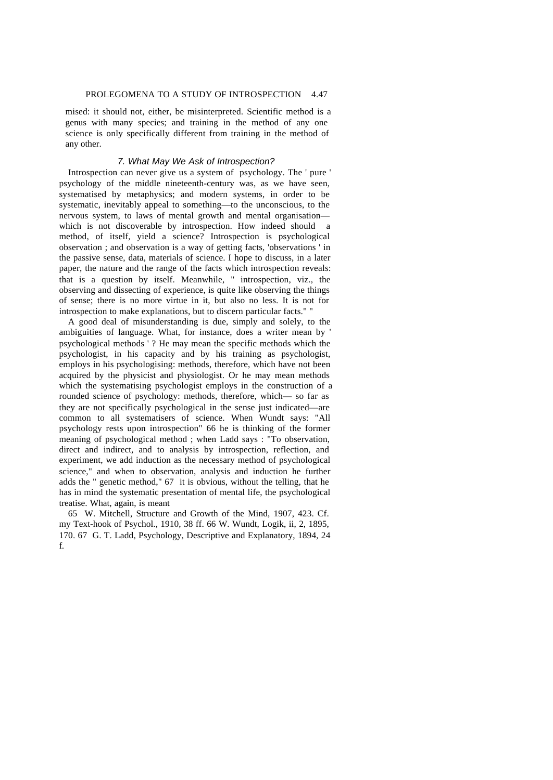mised: it should not, either, be misinterpreted. Scientific method is a genus with many species; and training in the method of any one science is only specifically different from training in the method of any other.

#### *7. What May We Ask of Introspection?*

Introspection can never give us a system of psychology. The ' pure ' psychology of the middle nineteenth-century was, as we have seen, systematised by metaphysics; and modern systems, in order to be systematic, inevitably appeal to something—to the unconscious, to the nervous system, to laws of mental growth and mental organisation which is not discoverable by introspection. How indeed should a method, of itself, yield a science? Introspection is psychological observation ; and observation is a way of getting facts, 'observations ' in the passive sense, data, materials of science. I hope to discuss, in a later paper, the nature and the range of the facts which introspection reveals: that is a question by itself. Meanwhile, " introspection, viz., the observing and dissecting of experience, is quite like observing the things of sense; there is no more virtue in it, but also no less. It is not for introspection to make explanations, but to discern particular facts." "

A good deal of misunderstanding is due, simply and solely, to the ambiguities of language. What, for instance, does a writer mean by ' psychological methods ' ? He may mean the specific methods which the psychologist, in his capacity and by his training as psychologist, employs in his psychologising: methods, therefore, which have not been acquired by the physicist and physiologist. Or he may mean methods which the systematising psychologist employs in the construction of a rounded science of psychology: methods, therefore, which— so far as they are not specifically psychological in the sense just indicated—are common to all systematisers of science. When Wundt says: "All psychology rests upon introspection" 66 he is thinking of the former meaning of psychological method ; when Ladd says : "To observation, direct and indirect, and to analysis by introspection, reflection, and experiment, we add induction as the necessary method of psychological science," and when to observation, analysis and induction he further adds the " genetic method," 67 it is obvious, without the telling, that he has in mind the systematic presentation of mental life, the psychological treatise. What, again, is meant

65 W. Mitchell, Structure and Growth of the Mind, 1907, 423. Cf. my Text-hook of Psychol., 1910, 38 ff. 66 W. Wundt, Logik, ii, 2, 1895, 170. 67 G. T. Ladd, Psychology, Descriptive and Explanatory, 1894, 24 f.